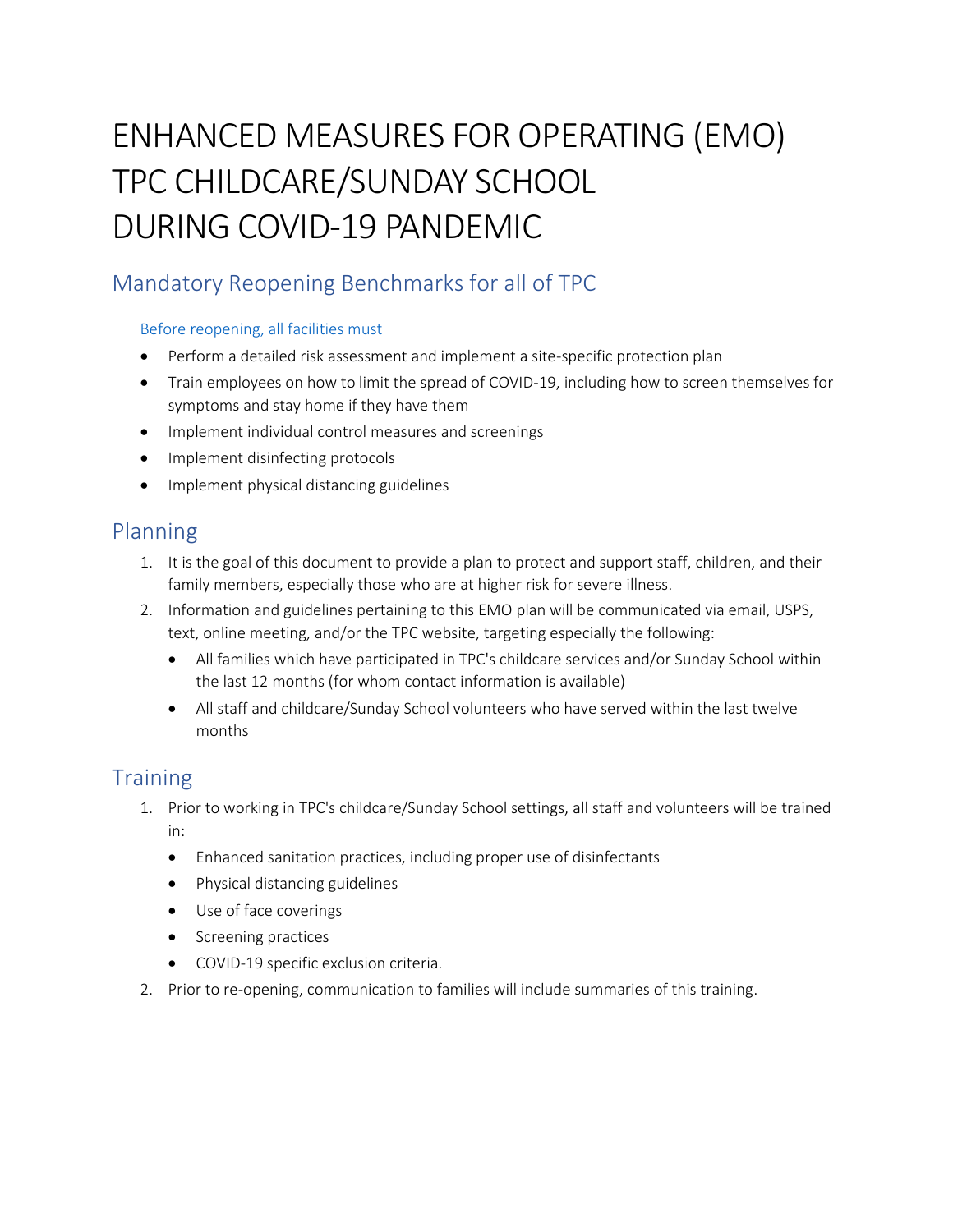# ENHANCED MEASURES FOR OPERATING (EMO) TPC CHILDCARE/SUNDAY SCHOOL DURING COVID-19 PANDEMIC

# Mandatory Reopening Benchmarks for all of TPC

#### [Before reopening, all facilities must](https://covid19.ca.gov/roadmap/)

- Perform a detailed risk assessment and implement a site-specific protection plan
- Train employees on how to limit the spread of COVID-19, including how to screen themselves for symptoms and stay home if they have them
- Implement individual control measures and screenings
- Implement disinfecting protocols
- Implement physical distancing guidelines

### Planning

- 1. It is the goal of this document to provide a plan to protect and support staff, children, and their family members, especially those who are at higher risk for severe illness.
- 2. Information and guidelines pertaining to this EMO plan will be communicated via email, USPS, text, online meeting, and/or the TPC website, targeting especially the following:
	- All families which have participated in TPC's childcare services and/or Sunday School within the last 12 months (for whom contact information is available)
	- All staff and childcare/Sunday School volunteers who have served within the last twelve months

## **Training**

- 1. Prior to working in TPC's childcare/Sunday School settings, all staff and volunteers will be trained in:
	- Enhanced sanitation practices, including proper use of disinfectants
	- Physical distancing guidelines
	- Use of face coverings
	- Screening practices
	- COVID-19 specific exclusion criteria.
- 2. Prior to re-opening, communication to families will include summaries of this training.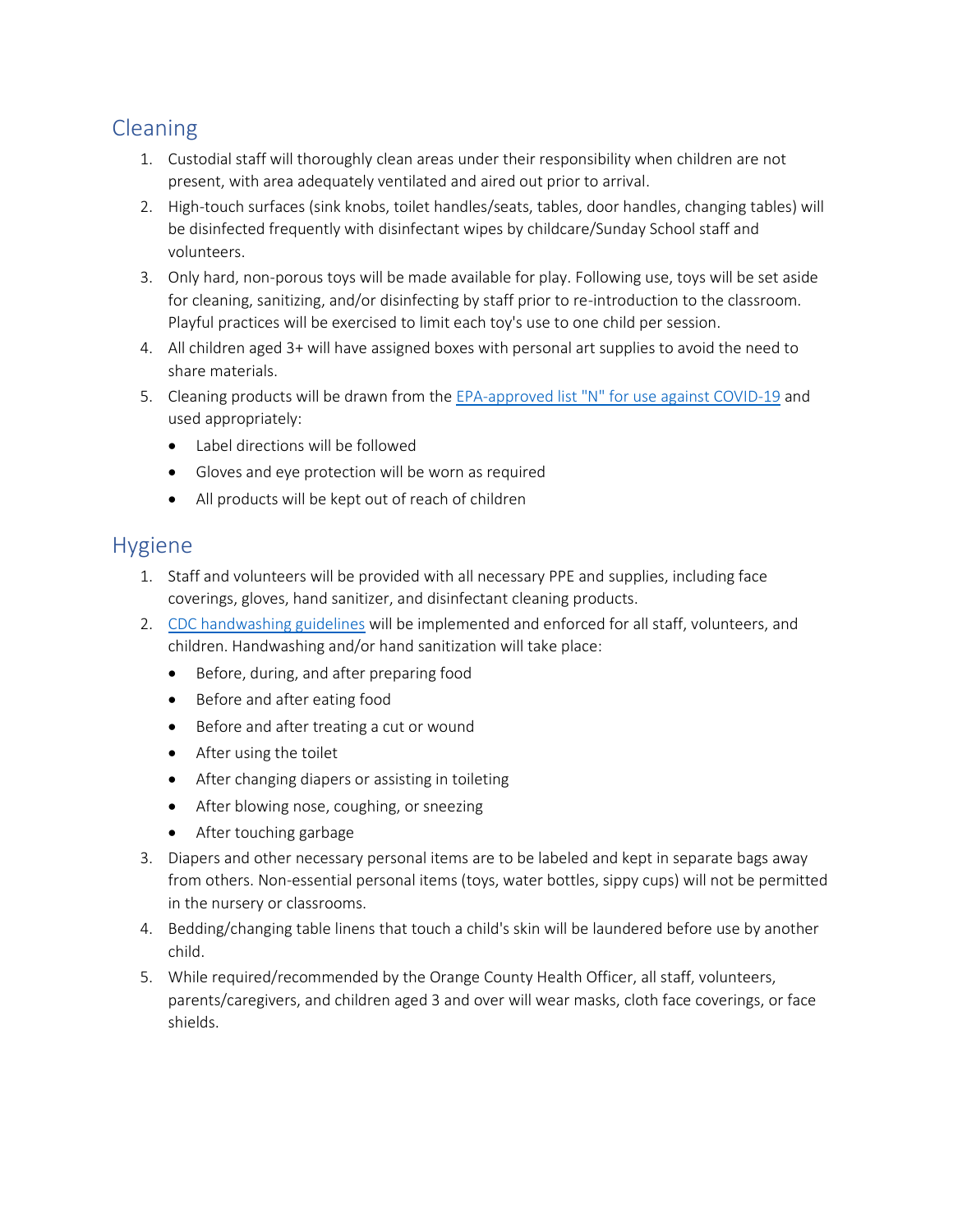# Cleaning

- 1. Custodial staff will thoroughly clean areas under their responsibility when children are not present, with area adequately ventilated and aired out prior to arrival.
- 2. High-touch surfaces (sink knobs, toilet handles/seats, tables, door handles, changing tables) will be disinfected frequently with disinfectant wipes by childcare/Sunday School staff and volunteers.
- 3. Only hard, non-porous toys will be made available for play. Following use, toys will be set aside for cleaning, sanitizing, and/or disinfecting by staff prior to re-introduction to the classroom. Playful practices will be exercised to limit each toy's use to one child per session.
- 4. All children aged 3+ will have assigned boxes with personal art supplies to avoid the need to share materials.
- 5. Cleaning products will be drawn from the EPA-approved list "N" [for use against COVID-19](https://www.epa.gov/pesticide-registration/list-n-disinfectants-use-against-sars-cov-2-covid-19) and used appropriately:
	- Label directions will be followed
	- Gloves and eye protection will be worn as required
	- All products will be kept out of reach of children

#### Hygiene

- 1. Staff and volunteers will be provided with all necessary PPE and supplies, including face coverings, gloves, hand sanitizer, and disinfectant cleaning products.
- 2. [CDC handwashing guidelines](https://www.cdc.gov/handwashing/index.html) will be implemented and enforced for all staff, volunteers, and children. Handwashing and/or hand sanitization will take place:
	- Before, during, and after preparing food
	- Before and after eating food
	- Before and after treating a cut or wound
	- After using the toilet
	- After changing diapers or assisting in toileting
	- After blowing nose, coughing, or sneezing
	- After touching garbage
- 3. Diapers and other necessary personal items are to be labeled and kept in separate bags away from others. Non-essential personal items (toys, water bottles, sippy cups) will not be permitted in the nursery or classrooms.
- 4. Bedding/changing table linens that touch a child's skin will be laundered before use by another child.
- 5. While required/recommended by the Orange County Health Officer, all staff, volunteers, parents/caregivers, and children aged 3 and over will wear masks, cloth face coverings, or face shields.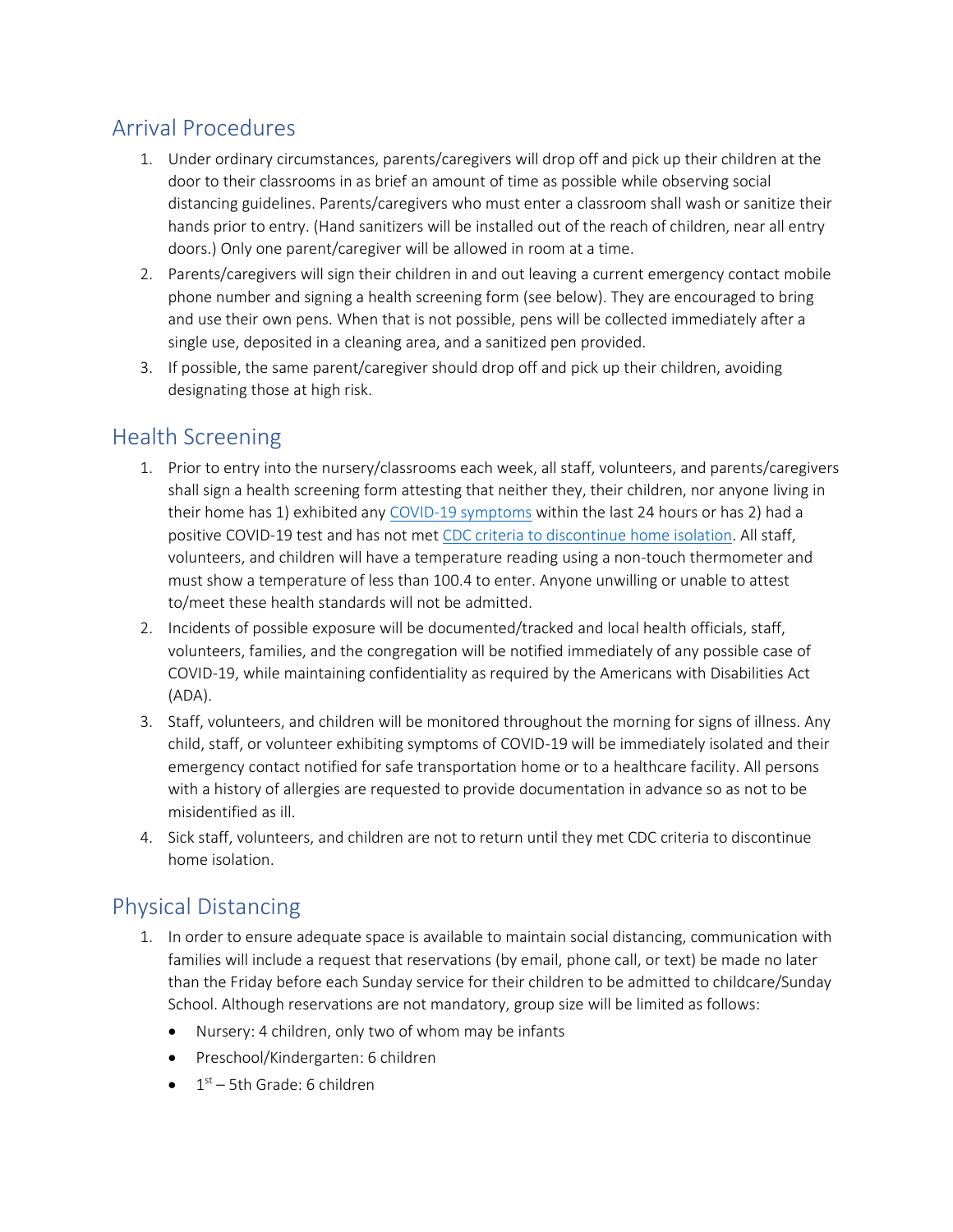## Arrival Procedures

- 1. Under ordinary circumstances, parents/caregivers will drop off and pick up their children at the door to their classrooms in as brief an amount of time as possible while observing social distancing guidelines. Parents/caregivers who must enter a classroom shall wash or sanitize their hands prior to entry. (Hand sanitizers will be installed out of the reach of children, near all entry doors.) Only one parent/caregiver will be allowed in room at a time.
- 2. Parents/caregivers will sign their children in and out leaving a current emergency contact mobile phone number and signing a health screening form (see below). They are encouraged to bring and use their own pens. When that is not possible, pens will be collected immediately after a single use, deposited in a cleaning area, and a sanitized pen provided.
- 3. If possible, the same parent/caregiver should drop off and pick up their children, avoiding designating those at high risk.

## Health Screening

- 1. Prior to entry into the nursery/classrooms each week, all staff, volunteers, and parents/caregivers shall sign a health screening form attesting that neither they, their children, nor anyone living in their home has 1) exhibited any [COVID-19 symptoms](https://www.cdc.gov/coronavirus/2019-ncov/symptoms-testing/symptoms.html) within the last 24 hours or has 2) had a positive COVID-19 test and has not me[t CDC criteria to discontinue home isolation.](https://www.cdc.gov/coronavirus/2019-ncov/if-you-are-sick/end-home-isolation.html) All staff, volunteers, and children will have a temperature reading using a non-touch thermometer and must show a temperature of less than 100.4 to enter. Anyone unwilling or unable to attest to/meet these health standards will not be admitted.
- 2. Incidents of possible exposure will be documented/tracked and local health officials, staff, volunteers, families, and the congregation will be notified immediately of any possible case of COVID-19, while maintaining confidentiality as required by the Americans with Disabilities Act (ADA).
- 3. Staff, volunteers, and children will be monitored throughout the morning for signs of illness. Any child, staff, or volunteer exhibiting symptoms of COVID-19 will be immediately isolated and their emergency contact notified for safe transportation home or to a healthcare facility. All persons with a history of allergies are requested to provide documentation in advance so as not to be misidentified as ill.
- 4. Sick staff, volunteers, and children are not to return until they met CDC criteria to discontinue home isolation.

## Physical Distancing

- 1. In order to ensure adequate space is available to maintain social distancing, communication with families will include a request that reservations (by email, phone call, or text) be made no later than the Friday before each Sunday service for their children to be admitted to childcare/Sunday School. Although reservations are not mandatory, group size will be limited as follows:
	- Nursery: 4 children, only two of whom may be infants
	- Preschool/Kindergarten: 6 children
	- $\bullet$   $1^{st}$  5th Grade: 6 children